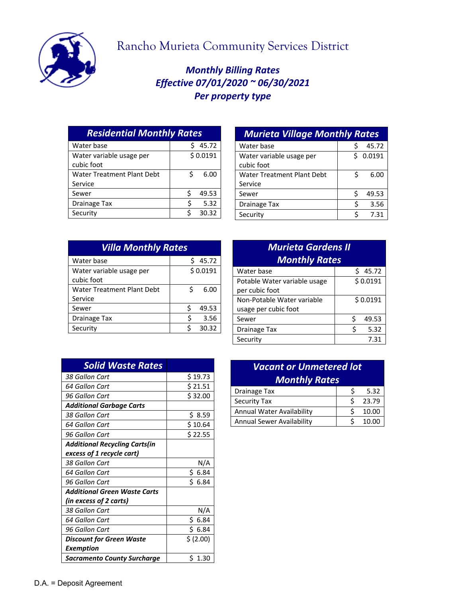

## Rancho Murieta Community Services District

## *Monthly Billing Rates Effective 07/01/2020 ~ 06/30/2021 Per property type*

| <b>Residential Monthly Rates</b> |  |  |
|----------------------------------|--|--|
| 45.72                            |  |  |
| \$0.0191                         |  |  |
|                                  |  |  |
| 6.00<br>Ś                        |  |  |
|                                  |  |  |
| ς<br>49.53                       |  |  |
| 5.32                             |  |  |
| 30.32                            |  |  |
|                                  |  |  |

| <b>Murieta Village Monthly Rates</b>         |   |          |
|----------------------------------------------|---|----------|
| Water base                                   | S | 45.72    |
| Water variable usage per<br>cubic foot       |   | \$0.0191 |
| <b>Water Treatment Plant Debt</b><br>Service | Ś | 6.00     |
| Sewer                                        | Ś | 49.53    |
| Drainage Tax                                 | Ś | 3.56     |
| Security                                     | Ś | 7.31     |

| <b>Villa Monthly Rates</b> |   |          |
|----------------------------|---|----------|
| Water base                 |   | 45.72    |
| Water variable usage per   |   | \$0.0191 |
| cubic foot                 |   |          |
| Water Treatment Plant Debt | ς | 6.00     |
| Service                    |   |          |
| Sewer                      | ς | 49.53    |
| <b>Drainage Tax</b>        | ς | 3.56     |
| Security                   | ¢ | 30.32    |

| <b>Murieta Gardens II</b><br><b>Monthly Rates</b>  |            |  |
|----------------------------------------------------|------------|--|
| Water base                                         | 45.72<br>Ś |  |
| Potable Water variable usage<br>per cubic foot     | \$0.0191   |  |
| Non-Potable Water variable<br>usage per cubic foot | \$0.0191   |  |
| Sewer                                              | Ś<br>49.53 |  |
| Drainage Tax                                       | ς<br>5.32  |  |
| Security                                           | 7.31       |  |

| <b>Solid Waste Rates</b>             |            |
|--------------------------------------|------------|
| 38 Gallon Cart                       | \$19.73    |
| 64 Gallon Cart                       | \$21.51    |
| 96 Gallon Cart                       | \$32.00    |
| <b>Additional Garbage Carts</b>      |            |
| 38 Gallon Cart                       | \$ 8.59    |
| 64 Gallon Cart                       | \$10.64    |
| 96 Gallon Cart                       | \$22.55    |
| <b>Additional Recycling Carts(in</b> |            |
| excess of 1 recycle cart)            |            |
| 38 Gallon Cart                       | N/A        |
| 64 Gallon Cart                       | \$6.84     |
| 96 Gallon Cart                       | Ś.<br>6.84 |
| <b>Additional Green Waste Carts</b>  |            |
| (in excess of 2 carts)               |            |
| 38 Gallon Cart                       | N/A        |
| 64 Gallon Cart                       | \$<br>6.84 |
| 96 Gallon Cart                       | \$6.84     |
| <b>Discount for Green Waste</b>      | \$ (2.00)  |
| Exemption                            |            |
| <b>Sacramento County Surcharge</b>   | \$1.30     |

| <b>Vacant or Unmetered lot</b> |   |       |
|--------------------------------|---|-------|
| <b>Monthly Rates</b>           |   |       |
| <b>Drainage Tax</b>            |   | 5.32  |
| <b>Security Tax</b>            | ς | 23.79 |
| Annual Water Availability      |   | 10.00 |
| Annual Sewer Availability      |   | 10.00 |
|                                |   |       |